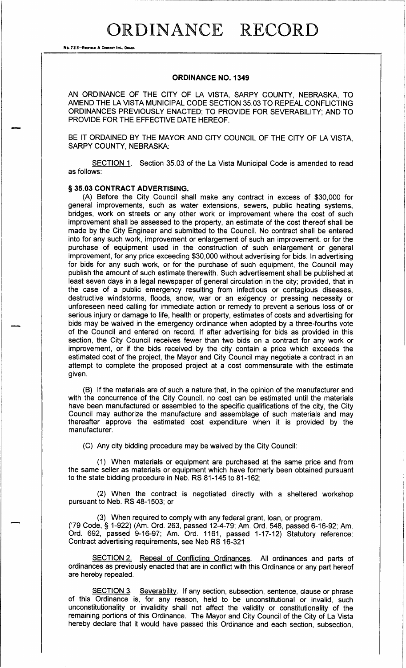## ORDINANCE RECORD

No. 72 8-REDFIELD & COMPANY INC., OMAHA

## ORDINANCE NO. 1349

AN ORDINANCE OF THE CITY OF LA VISTA, SARPY COUNTY, NEBRASKA, TO AMEND THE LA VISTA MUNICIPAL CODE SECTION 35.03 TO REPEAL CONFLICTING ORDINANCES PREVIOUSLY ENACTED; TO PROVIDE FOR SEVERABILITY; AND TO PROVIDE FOR THE EFFECTIVE DATE HEREOF.

BE IT ORDAINED BY THE MAYOR AND CITY COUNCIL OF THE CITY OF LA VISTA, SARPY COUNTY, NEBRASKA:

SECTION 1. Section 35. 03 of the La Vista Municipal Code is amended to read as follows:

## § 35.03 CONTRACT ADVERTISING.

(A) Before the City Council shall make any contract in excess of \$30,000 for general improvements, such as water extensions, sewers, public heating systems, bridges, work on streets or any other work or improvement where the cost of such improvement shall be assessed to the property, an estimate of the cost thereof shall be made by the City Engineer and submitted to the Council. No contract shall be entered into for any such work, improvement or enlargement of such an improvement, or for the purchase of equipment used in the construction of such enlargement or general improvement, for any price exceeding \$30,000 without advertising for bids. In advertising for bids for any such work, or for the purchase of such equipment, the Council may publish the amount of such estimate therewith. Such advertisement shall be published at least seven days in a legal newspaper of general circulation in the city; provided, that in the case of a public emergency resulting from infectious or contagious diseases, destructive windstorms, floods, snow, war or an exigency or pressing necessity or unforeseen need calling for immediate action or remedy to prevent a serious loss of or serious injury or damage to life, health or property, estimates of costs and advertising for bids may be waived in the emergency ordinance when adopted by a three- fourths vote of the Council and entered on record. If after advertising for bids as provided in this section, the City Council receives fewer than two bids on a contract for any work or improvement, or if the bids received by the city contain a price which exceeds the estimated cost of the project, the Mayor and City Council may negotiate a contract in an attempt to complete the proposed project at a cost commensurate with the estimate given.

B) If the materials are of such a nature that, in the opinion of the manufacturer and with the concurrence of the City Council, no cost can be estimated until the materials have been manufactured or assembled to the specific qualifications of the city, the City Council may authorize the manufacture and assemblage of such materials and may thereafter approve the estimated cost expenditure when it is provided by the manufacturer.

C) Any city bidding procedure may be waived by the City Council:

1) When materials or equipment are purchased at the same price and from the same seller as materials or equipment which have formerly been obtained pursuant to the state bidding procedure in Neb. RS 81-145 to 81-162;

2) When the contract is negotiated directly with a sheltered workshop pursuant to Neb. RS 48-1503; or

3) When required to comply with any federal grant, loan, or program. '79 Code, § 1-922) (Am. Ord. 263, passed 12-4-79; Am. Ord. 548, passed 6-16-92; Am Ord. 692, passed 9-16-97; Am. Ord. 1161, passed 1-17-12) Statutory reference Contract advertising requirements, see Neb RS 16-321

SECTION 2. Repeal of Conflicting Ordinances. All ordinances and parts of ordinances as previously enacted that are in conflict with this Ordinance or any part hereof are hereby repealed.

SECTION 3. Severability. If any section, subsection, sentence, clause or phrase of this Ordinance is, for any reason, held to be unconstitutional or invalid, such unconstitutionality or invalidity shall not affect the validity or constitutionality of the remaining portions of this Ordinance. The Mayor and City Council of the City of La Vista hereby declare that it would have passed this Ordinance and each section, subsection,